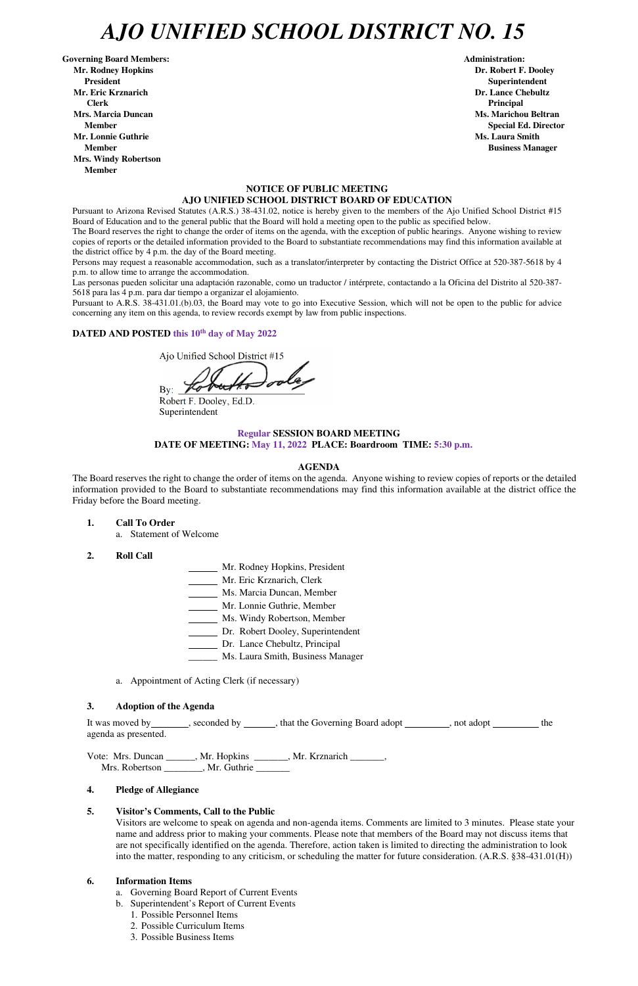## *AJO UNIFIED SCHOOL DISTRICT NO. 15*

Governing Board Members: **Administration: Administration: Administration: Mr. Rodney Hopkins Dr. Robert F. Dooley President Superintendent in the set of the set of the set of the set of the set of the Superintendent Superintendent Mr. Eric Krznarich Dr. Lance Chebultz Clerk Principal Mrs. Marcia Duncan Ms. Marichou Beltran Aristotelli, and Ms. Marichou Beltran** *Ms. Marichou Beltran* **Ms. Marichou Beltran <b>Ms. Marichou Beltran Mr. Lonnie Guthrie Ms. Laura Smith And All And All And All And All And All And All And All And All And All And All And All And All And All And All And All And All And All And All And All And All And All And All And All A Member Business Manager Business Manager Business Manager Mrs. Windy Robertson Member** 

## **NOTICE OF PUBLIC MEETING AJO UNIFIED SCHOOL DISTRICT BOARD OF EDUCATION**

Pursuant to Arizona Revised Statutes (A.R.S.) 38-431.02, notice is hereby given to the members of the Ajo Unified School District #15 Board of Education and to the general public that the Board will hold a meeting open to the public as specified below.

The Board reserves the right to change the order of items on the agenda, with the exception of public hearings. Anyone wishing to review copies of reports or the detailed information provided to the Board to substantiate recommendations may find this information available at the district office by 4 p.m. the day of the Board meeting.

Persons may request a reasonable accommodation, such as a translator/interpreter by contacting the District Office at 520-387-5618 by 4 p.m. to allow time to arrange the accommodation.

Las personas pueden solicitar una adaptación razonable, como un traductor / intérprete, contactando a la Oficina del Distrito al 520-387- 5618 para las 4 p.m. para dar tiempo a organizar el alojamiento.

It was moved by \_\_\_\_\_\_\_, seconded by \_\_\_\_\_\_, that the Governing Board adopt \_\_\_\_\_\_\_, not adopt \_\_\_\_\_\_\_\_ the agenda as presented.

Vote: Mrs. Duncan \_\_\_\_\_\_, Mr. Hopkins \_\_\_\_\_\_\_, Mr. Krznarich \_\_\_\_\_\_\_, Mrs. Robertson \_\_\_\_\_\_\_\_, Mr. Guthrie \_\_\_\_\_\_\_

Pursuant to A.R.S. 38-431.01.(b).03, the Board may vote to go into Executive Session, which will not be open to the public for advice concerning any item on this agenda, to review records exempt by law from public inspections.

## **DATED AND POSTED this 10th day of May 2022**

Ajo Unified School District #15

By:  $\angle$ 

Robert F. Dooley, Ed.D. Superintendent

## **Regular SESSION BOARD MEETING DATE OF MEETING: May 11, 2022 PLACE: Boardroom TIME: 5:30 p.m.**

#### **AGENDA**

The Board reserves the right to change the order of items on the agenda. Anyone wishing to review copies of reports or the detailed information provided to the Board to substantiate recommendations may find this information available at the district office the Friday before the Board meeting.

**1. Call To Order** 

a. Statement of Welcome

- **2. Roll Call**
- Mr. Rodney Hopkins, President
- Mr. Eric Krznarich, Clerk
- Ms. Marcia Duncan, Member
- Mr. Lonnie Guthrie, Member
- Ms. Windy Robertson, Member
- Dr. Robert Dooley, Superintendent
- Dr. Lance Chebultz, Principal
- \_\_\_\_\_\_ Ms. Laura Smith, Business Manager
- a. Appointment of Acting Clerk (if necessary)

#### **3. Adoption of the Agenda**

**Member** Special Ed. Director **Special Ed. Director** 

#### **4. Pledge of Allegiance**

#### **5. Visitor's Comments, Call to the Public**

Visitors are welcome to speak on agenda and non-agenda items. Comments are limited to 3 minutes. Please state your name and address prior to making your comments. Please note that members of the Board may not discuss items that are not specifically identified on the agenda. Therefore, action taken is limited to directing the administration to look into the matter, responding to any criticism, or scheduling the matter for future consideration. (A.R.S. §38-431.01(H))

#### **6. Information Items**

- a. Governing Board Report of Current Events
- b. Superintendent's Report of Current Events
	- 1. Possible Personnel Items
	- 2. Possible Curriculum Items
	- 3. Possible Business Items